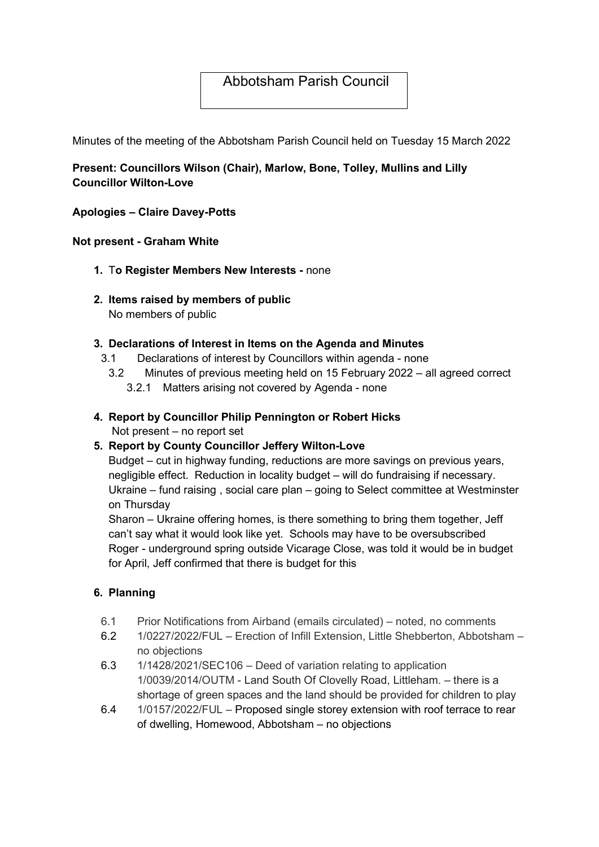# Abbotsham Parish Council

Minutes of the meeting of the Abbotsham Parish Council held on Tuesday 15 March 2022

# Present: Councillors Wilson (Chair), Marlow, Bone, Tolley, Mullins and Lilly Councillor Wilton-Love

### Apologies – Claire Davey-Potts

### Not present - Graham White

- 1. To Register Members New Interests none
- 2. Items raised by members of public No members of public

### 3. Declarations of Interest in Items on the Agenda and Minutes

- 3.1 Declarations of interest by Councillors within agenda none
	- 3.2 Minutes of previous meeting held on 15 February 2022 all agreed correct
		- 3.2.1 Matters arising not covered by Agenda none
- 4. Report by Councillor Philip Pennington or Robert Hicks

Not present – no report set

# 5. Report by County Councillor Jeffery Wilton-Love

Budget – cut in highway funding, reductions are more savings on previous years, negligible effect. Reduction in locality budget – will do fundraising if necessary. Ukraine – fund raising , social care plan – going to Select committee at Westminster on Thursday

Sharon – Ukraine offering homes, is there something to bring them together, Jeff can't say what it would look like yet. Schools may have to be oversubscribed Roger - underground spring outside Vicarage Close, was told it would be in budget for April, Jeff confirmed that there is budget for this

### 6. Planning

- 6.1 Prior Notifications from Airband (emails circulated) noted, no comments
- 6.2 1/0227/2022/FUL Erection of Infill Extension, Little Shebberton, Abbotsham no objections
- 6.3 1/1428/2021/SEC106 Deed of variation relating to application 1/0039/2014/OUTM - Land South Of Clovelly Road, Littleham. – there is a shortage of green spaces and the land should be provided for children to play
- 6.4 1/0157/2022/FUL Proposed single storey extension with roof terrace to rear of dwelling, Homewood, Abbotsham – no objections